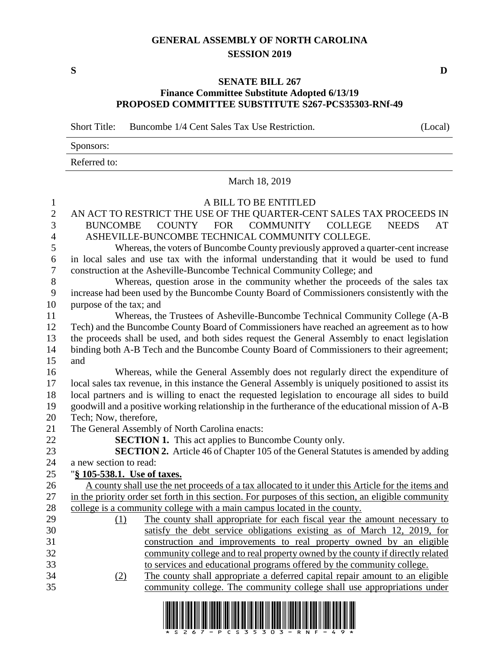### **GENERAL ASSEMBLY OF NORTH CAROLINA SESSION 2019**

**S D**

#### **SENATE BILL 267 Finance Committee Substitute Adopted 6/13/19 PROPOSED COMMITTEE SUBSTITUTE S267-PCS35303-RNf-49**

Short Title: Buncombe 1/4 Cent Sales Tax Use Restriction. (Local)

| Sponsors:    |  |
|--------------|--|
| Referred to: |  |

March 18, 2019

# A BILL TO BE ENTITLED

## AN ACT TO RESTRICT THE USE OF THE QUARTER-CENT SALES TAX PROCEEDS IN BUNCOMBE COUNTY FOR COMMUNITY COLLEGE NEEDS AT ASHEVILLE-BUNCOMBE TECHNICAL COMMUNITY COLLEGE.

 Whereas, the voters of Buncombe County previously approved a quarter-cent increase in local sales and use tax with the informal understanding that it would be used to fund construction at the Asheville-Buncombe Technical Community College; and

 Whereas, question arose in the community whether the proceeds of the sales tax increase had been used by the Buncombe County Board of Commissioners consistently with the purpose of the tax; and

 Whereas, the Trustees of Asheville-Buncombe Technical Community College (A-B Tech) and the Buncombe County Board of Commissioners have reached an agreement as to how the proceeds shall be used, and both sides request the General Assembly to enact legislation binding both A-B Tech and the Buncombe County Board of Commissioners to their agreement; and

 Whereas, while the General Assembly does not regularly direct the expenditure of local sales tax revenue, in this instance the General Assembly is uniquely positioned to assist its local partners and is willing to enact the requested legislation to encourage all sides to build goodwill and a positive working relationship in the furtherance of the educational mission of A-B Tech; Now, therefore,

The General Assembly of North Carolina enacts:

**SECTION 1.** This act applies to Buncombe County only.

**SECTION 2.** Article 46 of Chapter 105 of the General Statutes is amended by adding

a new section to read:

## "**§ 105-538.1. Use of taxes.**

- A county shall use the net proceeds of a tax allocated to it under this Article for the items and in the priority order set forth in this section. For purposes of this section, an eligible community college is a community college with a main campus located in the county.
- (1) The county shall appropriate for each fiscal year the amount necessary to satisfy the debt service obligations existing as of March 12, 2019, for construction and improvements to real property owned by an eligible community college and to real property owned by the county if directly related to services and educational programs offered by the community college. (2) The county shall appropriate a deferred capital repair amount to an eligible
- community college. The community college shall use appropriations under